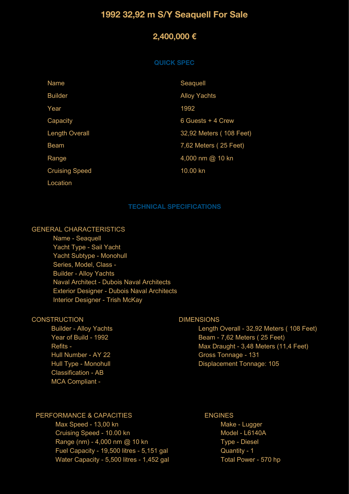# **1992 32,92 m S/Y Seaquell For Sale**

# **2,400,000 €**

#### **QUICK SPEC**

| <b>Name</b>           | Seaquell                |
|-----------------------|-------------------------|
| <b>Builder</b>        | <b>Alloy Yachts</b>     |
| Year                  | 1992                    |
| Capacity              | 6 Guests + 4 Crew       |
| <b>Length Overall</b> | 32,92 Meters (108 Feet) |
| <b>Beam</b>           | 7,62 Meters (25 Feet)   |
| Range                 | 4,000 nm @ 10 kn        |
| <b>Cruising Speed</b> | 10.00 kn                |
| Location              |                         |

#### **TECHNICAL SPECIFICATIONS**

## GENERAL CHARACTERISTICS

 Name - Seaquell Yacht Type - Sail Yacht Yacht Subtype - Monohull Series, Model, Class - Builder - Alloy Yachts Naval Architect - Dubois Naval Architects Exterior Designer - Dubois Naval Architects Interior Designer - Trish McKay

## **CONSTRUCTION**

 Builder - Alloy Yachts Year of Build - 1992 Refits - Hull Number - AY 22 Hull Type - Monohull Classification - AB MCA Compliant -

#### DIMENSIONS

 Length Overall - 32,92 Meters ( 108 Feet) Beam - 7,62 Meters ( 25 Feet) Max Draught - 3,48 Meters (11,4 Feet) Gross Tonnage - 131 Displacement Tonnage: 105

## PERFORMANCE & CAPACITIES

 Max Speed - 13,00 kn Cruising Speed - 10.00 kn Range (nm) - 4,000 nm @ 10 kn Fuel Capacity - 19,500 litres - 5,151 gal Water Capacity - 5,500 litres - 1,452 gal

## ENGINES

 Make - Lugger Model - L6140A Type - Diesel Quantity - 1 Total Power - 570 hp